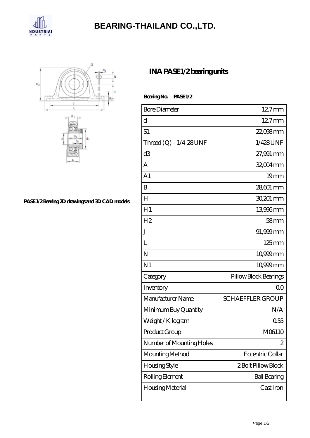

## **[BEARING-THAILAND CO.,LTD.](https://fkcbb.com)**



**[PASE1/2 Bearing 2D drawings and 3D CAD models](https://fkcbb.com/pic-46281.html)**

## **[INA PASE1/2 bearing units](https://fkcbb.com/az-46281-ina-pase1-2-bearing-units.html)**

 **Bearing No. PASE1/2**

| <b>Bore Diameter</b>      | 12,7mm                  |
|---------------------------|-------------------------|
| d                         | $12.7$ mm               |
| S1                        | 22,098mm                |
| Thread $(Q) - 1/4.28$ UNF | 1/428UNF                |
| d <sub>3</sub>            | 27,991 mm               |
| A                         | 32,004 mm               |
| A1                        | 19 <sub>mm</sub>        |
| B                         | 28,601 mm               |
| H                         | 30,201 mm               |
| H1                        | 13996mm                 |
| H2                        | 58 <sub>mm</sub>        |
| J                         | 91,999mm                |
| L                         | $125 \text{mm}$         |
| N                         | 10,999mm                |
| N <sub>1</sub>            | 10,999mm                |
| Category                  | Pillow Block Bearings   |
| Inventory                 | Q0                      |
| Manufacturer Name         | <b>SCHAEFFLER GROUP</b> |
| Minimum Buy Quantity      | N/A                     |
| Weight / Kilogram         | 0.55                    |
| Product Group             | M06110                  |
| Number of Mounting Holes  | 2                       |
| Mounting Method           | Eccentric Collar        |
| <b>Housing Style</b>      | 2 Bolt Pillow Block     |
| Rolling Element           | <b>Ball Bearing</b>     |
| Housing Material          | Cast Iron               |
|                           |                         |